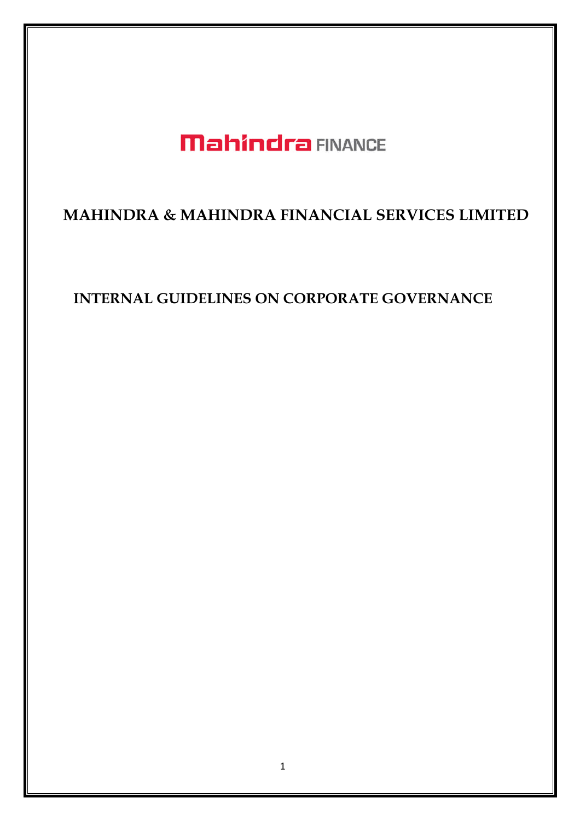# **Mahindra FINANCE**

## **MAHINDRA & MAHINDRA FINANCIAL SERVICES LIMITED**

## **INTERNAL GUIDELINES ON CORPORATE GOVERNANCE**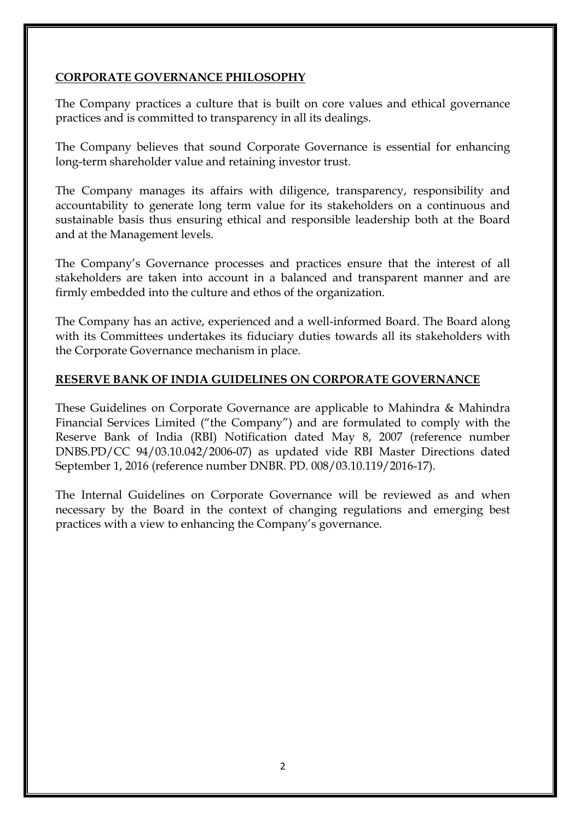## **CORPORATE GOVERNANCE PHILOSOPHY**

The Company practices a culture that is built on core values and ethical governance practices and is committed to transparency in all its dealings.

The Company believes that sound Corporate Governance is essential for enhancing long-term shareholder value and retaining investor trust.

The Company manages its affairs with diligence, transparency, responsibility and accountability to generate long term value for its stakeholders on a continuous and sustainable basis thus ensuring ethical and responsible leadership both at the Board and at the Management levels.

The Company's Governance processes and practices ensure that the interest of all stakeholders are taken into account in a balanced and transparent manner and are firmly embedded into the culture and ethos of the organization.

The Company has an active, experienced and a well-informed Board. The Board along with its Committees undertakes its fiduciary duties towards all its stakeholders with the Corporate Governance mechanism in place.

#### **RESERVE BANK OF INDIA GUIDELINES ON CORPORATE GOVERNANCE**

These Guidelines on Corporate Governance are applicable to Mahindra & Mahindra Financial Services Limited ("the Company") and are formulated to comply with the Reserve Bank of India (RBI) Notification dated May 8, 2007 (reference number DNBS.PD/CC 94/03.10.042/2006-07) as updated vide RBI Master Directions dated September 1, 2016 (reference number DNBR. PD. 008/03.10.119/2016-17).

The Internal Guidelines on Corporate Governance will be reviewed as and when necessary by the Board in the context of changing regulations and emerging best practices with a view to enhancing the Company's governance.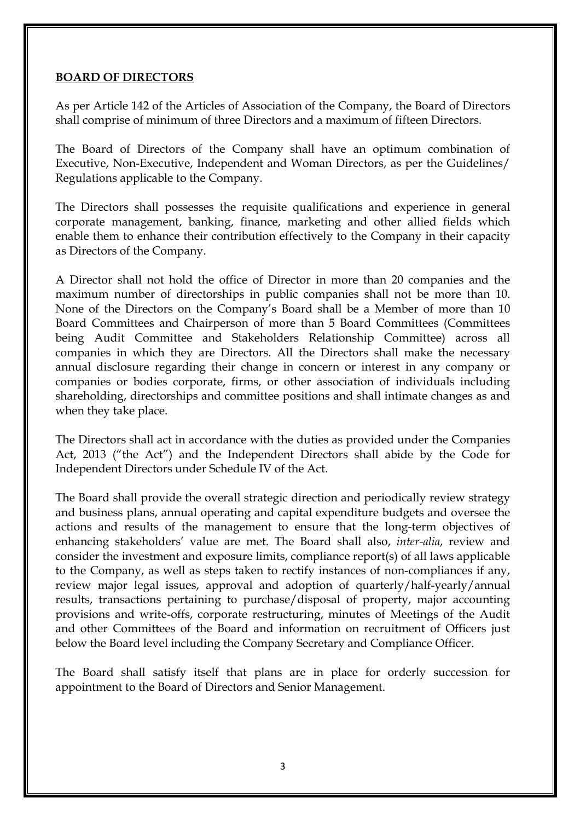#### **BOARD OF DIRECTORS**

As per Article 142 of the Articles of Association of the Company, the Board of Directors shall comprise of minimum of three Directors and a maximum of fifteen Directors.

The Board of Directors of the Company shall have an optimum combination of Executive, Non-Executive, Independent and Woman Directors, as per the Guidelines/ Regulations applicable to the Company.

The Directors shall possesses the requisite qualifications and experience in general corporate management, banking, finance, marketing and other allied fields which enable them to enhance their contribution effectively to the Company in their capacity as Directors of the Company.

A Director shall not hold the office of Director in more than 20 companies and the maximum number of directorships in public companies shall not be more than 10. None of the Directors on the Company's Board shall be a Member of more than 10 Board Committees and Chairperson of more than 5 Board Committees (Committees being Audit Committee and Stakeholders Relationship Committee) across all companies in which they are Directors. All the Directors shall make the necessary annual disclosure regarding their change in concern or interest in any company or companies or bodies corporate, firms, or other association of individuals including shareholding, directorships and committee positions and shall intimate changes as and when they take place.

The Directors shall act in accordance with the duties as provided under the Companies Act, 2013 ("the Act") and the Independent Directors shall abide by the Code for Independent Directors under Schedule IV of the Act.

The Board shall provide the overall strategic direction and periodically review strategy and business plans, annual operating and capital expenditure budgets and oversee the actions and results of the management to ensure that the long-term objectives of enhancing stakeholders' value are met. The Board shall also, *inter-alia*, review and consider the investment and exposure limits, compliance report(s) of all laws applicable to the Company, as well as steps taken to rectify instances of non-compliances if any, review major legal issues, approval and adoption of quarterly/half-yearly/annual results, transactions pertaining to purchase/disposal of property, major accounting provisions and write-offs, corporate restructuring, minutes of Meetings of the Audit and other Committees of the Board and information on recruitment of Officers just below the Board level including the Company Secretary and Compliance Officer.

The Board shall satisfy itself that plans are in place for orderly succession for appointment to the Board of Directors and Senior Management.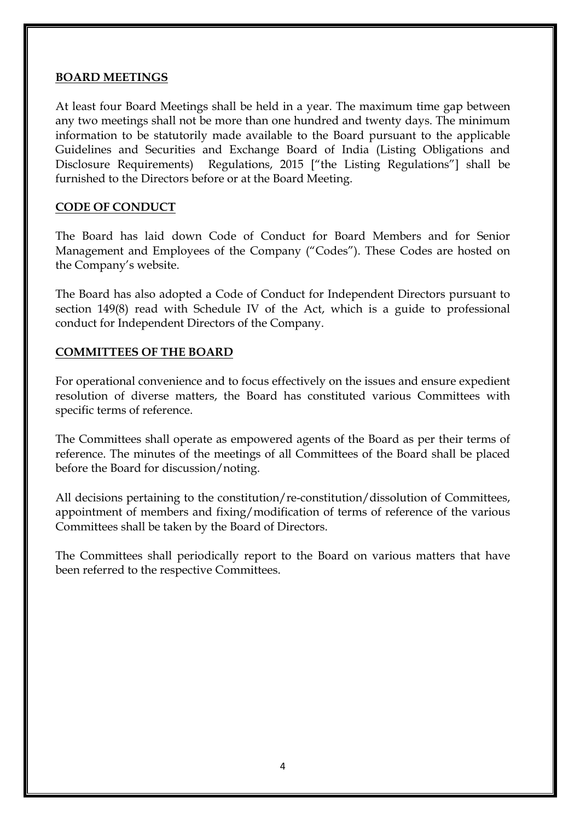#### **BOARD MEETINGS**

At least four Board Meetings shall be held in a year. The maximum time gap between any two meetings shall not be more than one hundred and twenty days. The minimum information to be statutorily made available to the Board pursuant to the applicable Guidelines and Securities and Exchange Board of India (Listing Obligations and Disclosure Requirements) Regulations, 2015 ["the Listing Regulations"] shall be furnished to the Directors before or at the Board Meeting.

#### **CODE OF CONDUCT**

The Board has laid down Code of Conduct for Board Members and for Senior Management and Employees of the Company ("Codes"). These Codes are hosted on the Company's website.

The Board has also adopted a Code of Conduct for Independent Directors pursuant to section 149(8) read with Schedule IV of the Act, which is a guide to professional conduct for Independent Directors of the Company.

#### **COMMITTEES OF THE BOARD**

For operational convenience and to focus effectively on the issues and ensure expedient resolution of diverse matters, the Board has constituted various Committees with specific terms of reference.

The Committees shall operate as empowered agents of the Board as per their terms of reference. The minutes of the meetings of all Committees of the Board shall be placed before the Board for discussion/noting.

All decisions pertaining to the constitution/re-constitution/dissolution of Committees, appointment of members and fixing/modification of terms of reference of the various Committees shall be taken by the Board of Directors.

The Committees shall periodically report to the Board on various matters that have been referred to the respective Committees.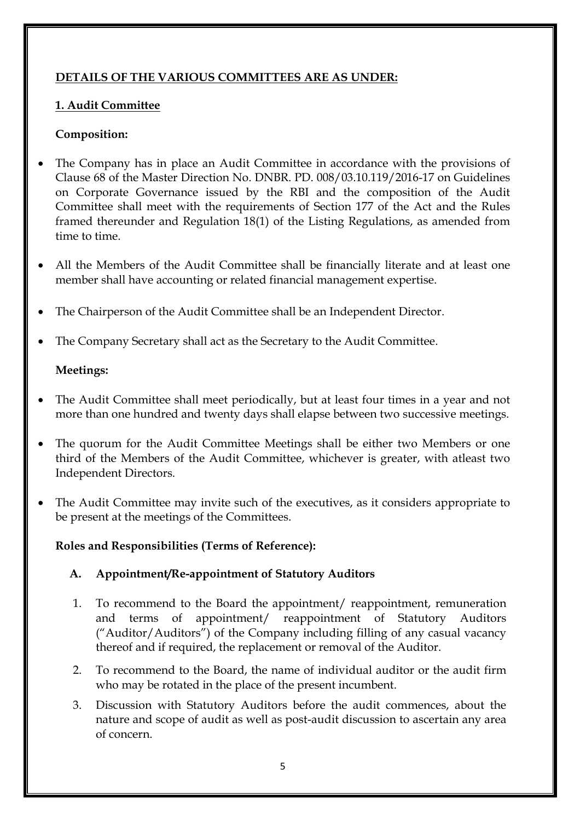## **DETAILS OF THE VARIOUS COMMITTEES ARE AS UNDER:**

## **1. Audit Committee**

## **Composition:**

- The Company has in place an Audit Committee in accordance with the provisions of Clause 68 of the Master Direction No. DNBR. PD. 008/03.10.119/2016-17 on Guidelines on Corporate Governance issued by the RBI and the composition of the Audit Committee shall meet with the requirements of Section 177 of the Act and the Rules framed thereunder and Regulation 18(1) of the Listing Regulations, as amended from time to time.
- All the Members of the Audit Committee shall be financially literate and at least one member shall have accounting or related financial management expertise.
- The Chairperson of the Audit Committee shall be an Independent Director.
- The Company Secretary shall act as the Secretary to the Audit Committee.

## **Meetings:**

- The Audit Committee shall meet periodically, but at least four times in a year and not more than one hundred and twenty days shall elapse between two successive meetings.
- The quorum for the Audit Committee Meetings shall be either two Members or one third of the Members of the Audit Committee, whichever is greater, with atleast two Independent Directors.
- The Audit Committee may invite such of the executives, as it considers appropriate to be present at the meetings of the Committees.

## **Roles and Responsibilities (Terms of Reference):**

## **A. Appointment/Re-appointment of Statutory Auditors**

- 1. To recommend to the Board the appointment/ reappointment, remuneration and terms of appointment/ reappointment of Statutory Auditors ("Auditor/Auditors") of the Company including filling of any casual vacancy thereof and if required, the replacement or removal of the Auditor.
- 2. To recommend to the Board, the name of individual auditor or the audit firm who may be rotated in the place of the present incumbent.
- 3. Discussion with Statutory Auditors before the audit commences, about the nature and scope of audit as well as post-audit discussion to ascertain any area of concern.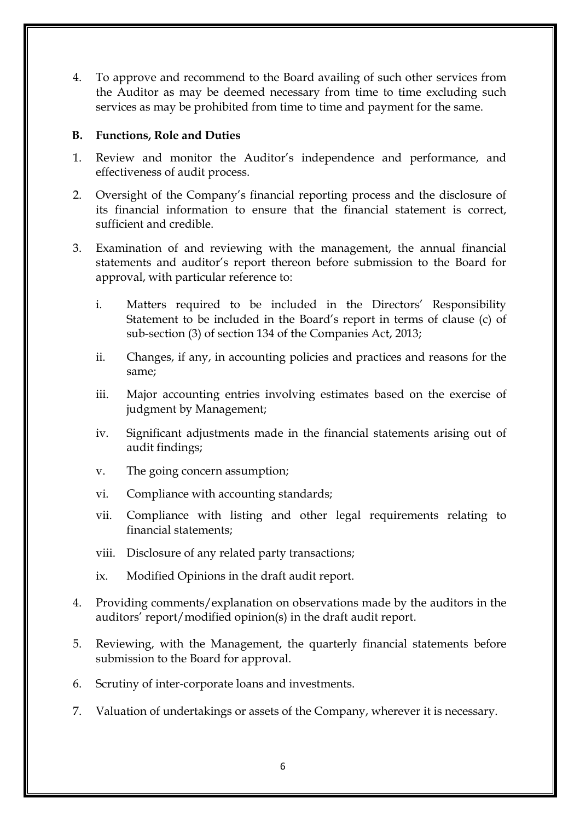4. To approve and recommend to the Board availing of such other services from the Auditor as may be deemed necessary from time to time excluding such services as may be prohibited from time to time and payment for the same.

## **B. Functions, Role and Duties**

- 1. Review and monitor the Auditor's independence and performance, and effectiveness of audit process.
- 2. Oversight of the Company's financial reporting process and the disclosure of its financial information to ensure that the financial statement is correct, sufficient and credible.
- 3. Examination of and reviewing with the management, the annual financial statements and auditor's report thereon before submission to the Board for approval, with particular reference to:
	- i. Matters required to be included in the Directors' Responsibility Statement to be included in the Board's report in terms of clause (c) of sub-section (3) of section 134 of the Companies Act, 2013;
	- ii. Changes, if any, in accounting policies and practices and reasons for the same;
	- iii. Major accounting entries involving estimates based on the exercise of judgment by Management;
	- iv. Significant adjustments made in the financial statements arising out of audit findings;
	- v. The going concern assumption;
	- vi. Compliance with accounting standards;
	- vii. Compliance with listing and other legal requirements relating to financial statements;
	- viii. Disclosure of any related party transactions;
	- ix. Modified Opinions in the draft audit report.
- 4. Providing comments/explanation on observations made by the auditors in the auditors' report/modified opinion(s) in the draft audit report.
- 5. Reviewing, with the Management, the quarterly financial statements before submission to the Board for approval.
- 6. Scrutiny of inter-corporate loans and investments.
- 7. Valuation of undertakings or assets of the Company, wherever it is necessary.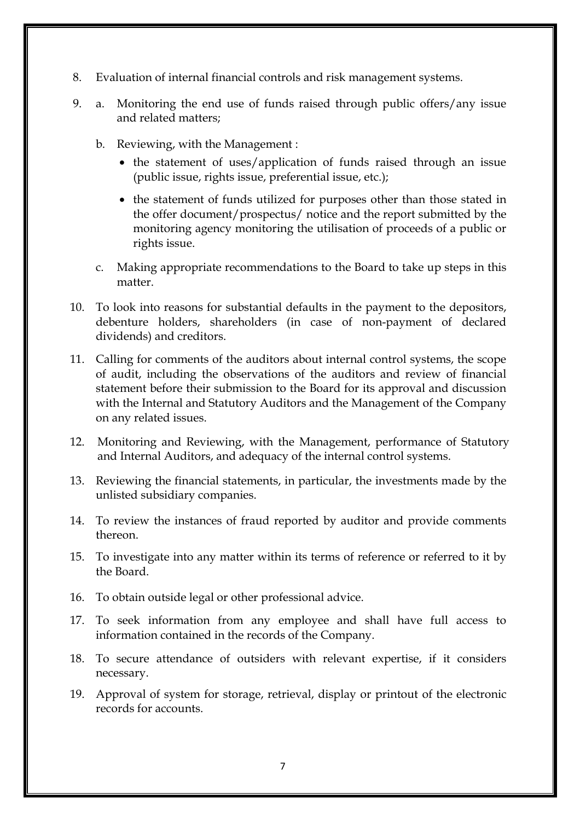- 8. Evaluation of internal financial controls and risk management systems.
- 9. a. Monitoring the end use of funds raised through public offers/any issue and related matters;
	- b. Reviewing, with the Management :
		- the statement of uses/application of funds raised through an issue (public issue, rights issue, preferential issue, etc.);
		- the statement of funds utilized for purposes other than those stated in the offer document/prospectus/ notice and the report submitted by the monitoring agency monitoring the utilisation of proceeds of a public or rights issue.
	- c. Making appropriate recommendations to the Board to take up steps in this matter.
- 10. To look into reasons for substantial defaults in the payment to the depositors, debenture holders, shareholders (in case of non-payment of declared dividends) and creditors.
- 11. Calling for comments of the auditors about internal control systems, the scope of audit, including the observations of the auditors and review of financial statement before their submission to the Board for its approval and discussion with the Internal and Statutory Auditors and the Management of the Company on any related issues.
- 12. Monitoring and Reviewing, with the Management, performance of Statutory and Internal Auditors, and adequacy of the internal control systems.
- 13. Reviewing the financial statements, in particular, the investments made by the unlisted subsidiary companies.
- 14. To review the instances of fraud reported by auditor and provide comments thereon.
- 15. To investigate into any matter within its terms of reference or referred to it by the Board.
- 16. To obtain outside legal or other professional advice.
- 17. To seek information from any employee and shall have full access to information contained in the records of the Company.
- 18. To secure attendance of outsiders with relevant expertise, if it considers necessary.
- 19. Approval of system for storage, retrieval, display or printout of the electronic records for accounts.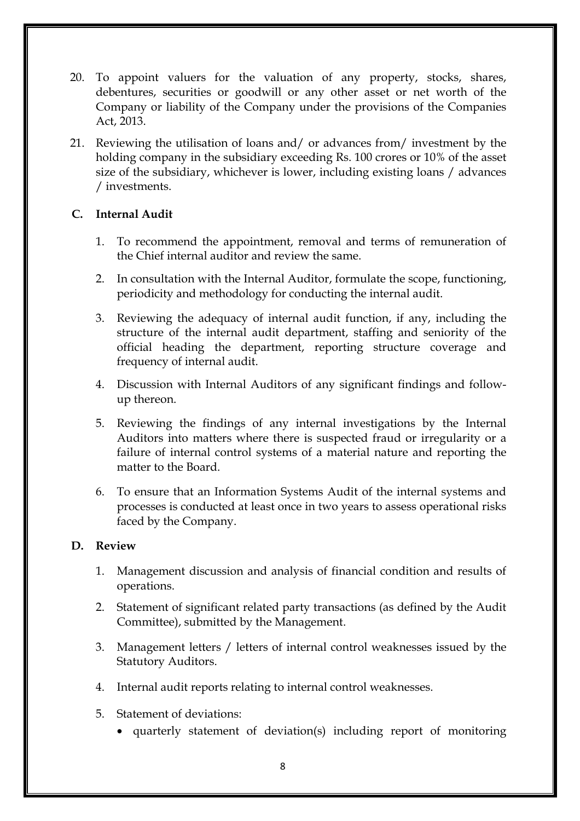- 20. To appoint valuers for the valuation of any property, stocks, shares, debentures, securities or goodwill or any other asset or net worth of the Company or liability of the Company under the provisions of the Companies Act, 2013.
- 21. Reviewing the utilisation of loans and/ or advances from/ investment by the holding company in the subsidiary exceeding Rs. 100 crores or 10% of the asset size of the subsidiary, whichever is lower, including existing loans / advances / investments.

## **C. Internal Audit**

- 1. To recommend the appointment, removal and terms of remuneration of the Chief internal auditor and review the same.
- 2. In consultation with the Internal Auditor, formulate the scope, functioning, periodicity and methodology for conducting the internal audit.
- 3. Reviewing the adequacy of internal audit function, if any, including the structure of the internal audit department, staffing and seniority of the official heading the department, reporting structure coverage and frequency of internal audit.
- 4. Discussion with Internal Auditors of any significant findings and followup thereon.
- 5. Reviewing the findings of any internal investigations by the Internal Auditors into matters where there is suspected fraud or irregularity or a failure of internal control systems of a material nature and reporting the matter to the Board.
- 6. To ensure that an Information Systems Audit of the internal systems and processes is conducted at least once in two years to assess operational risks faced by the Company.

## **D. Review**

- 1. Management discussion and analysis of financial condition and results of operations.
- 2. Statement of significant related party transactions (as defined by the Audit Committee), submitted by the Management.
- 3. Management letters / letters of internal control weaknesses issued by the Statutory Auditors.
- 4. Internal audit reports relating to internal control weaknesses.
- 5. Statement of deviations:
	- quarterly statement of deviation(s) including report of monitoring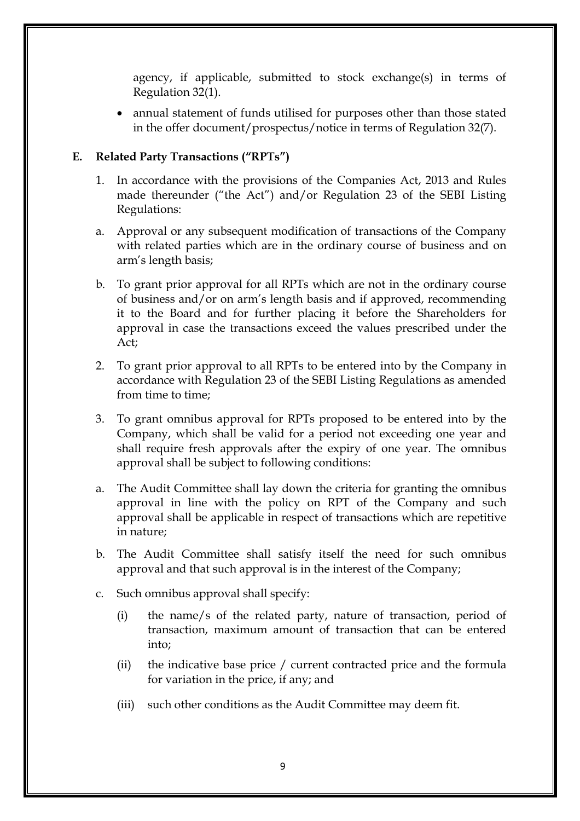agency, if applicable, submitted to stock exchange(s) in terms of Regulation 32(1).

 annual statement of funds utilised for purposes other than those stated in the offer document/prospectus/notice in terms of Regulation 32(7).

#### **E. Related Party Transactions ("RPTs")**

- 1. In accordance with the provisions of the Companies Act, 2013 and Rules made thereunder ("the Act") and/or Regulation 23 of the SEBI Listing Regulations:
- a. Approval or any subsequent modification of transactions of the Company with related parties which are in the ordinary course of business and on arm's length basis;
- b. To grant prior approval for all RPTs which are not in the ordinary course of business and/or on arm's length basis and if approved, recommending it to the Board and for further placing it before the Shareholders for approval in case the transactions exceed the values prescribed under the Act;
- 2. To grant prior approval to all RPTs to be entered into by the Company in accordance with Regulation 23 of the SEBI Listing Regulations as amended from time to time;
- 3. To grant omnibus approval for RPTs proposed to be entered into by the Company, which shall be valid for a period not exceeding one year and shall require fresh approvals after the expiry of one year. The omnibus approval shall be subject to following conditions:
- a. The Audit Committee shall lay down the criteria for granting the omnibus approval in line with the policy on RPT of the Company and such approval shall be applicable in respect of transactions which are repetitive in nature;
- b. The Audit Committee shall satisfy itself the need for such omnibus approval and that such approval is in the interest of the Company;
- c. Such omnibus approval shall specify:
	- (i) the name/s of the related party, nature of transaction, period of transaction, maximum amount of transaction that can be entered into;
	- (ii) the indicative base price / current contracted price and the formula for variation in the price, if any; and
	- (iii) such other conditions as the Audit Committee may deem fit.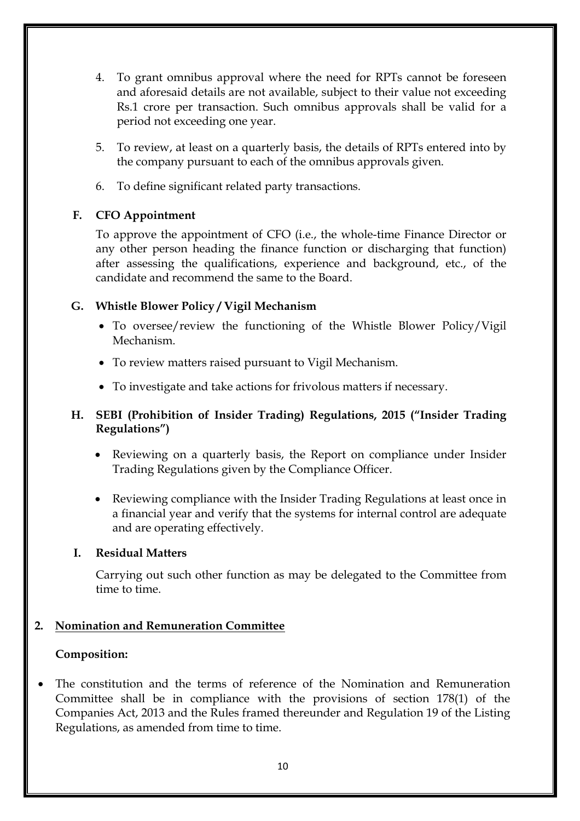- 4. To grant omnibus approval where the need for RPTs cannot be foreseen and aforesaid details are not available, subject to their value not exceeding Rs.1 crore per transaction. Such omnibus approvals shall be valid for a period not exceeding one year.
- 5. To review, at least on a quarterly basis, the details of RPTs entered into by the company pursuant to each of the omnibus approvals given.
- 6. To define significant related party transactions.

## **F. CFO Appointment**

To approve the appointment of CFO (i.e., the whole-time Finance Director or any other person heading the finance function or discharging that function) after assessing the qualifications, experience and background, etc., of the candidate and recommend the same to the Board.

## **G. Whistle Blower Policy / Vigil Mechanism**

- To oversee/review the functioning of the Whistle Blower Policy/Vigil Mechanism.
- To review matters raised pursuant to Vigil Mechanism.
- To investigate and take actions for frivolous matters if necessary.

## **H. SEBI (Prohibition of Insider Trading) Regulations, 2015 ("Insider Trading Regulations")**

- Reviewing on a quarterly basis, the Report on compliance under Insider Trading Regulations given by the Compliance Officer.
- Reviewing compliance with the Insider Trading Regulations at least once in a financial year and verify that the systems for internal control are adequate and are operating effectively.

## **I. Residual Matters**

Carrying out such other function as may be delegated to the Committee from time to time.

## **2. Nomination and Remuneration Committee**

## **Composition:**

 The constitution and the terms of reference of the Nomination and Remuneration Committee shall be in compliance with the provisions of section 178(1) of the Companies Act, 2013 and the Rules framed thereunder and Regulation 19 of the Listing Regulations, as amended from time to time.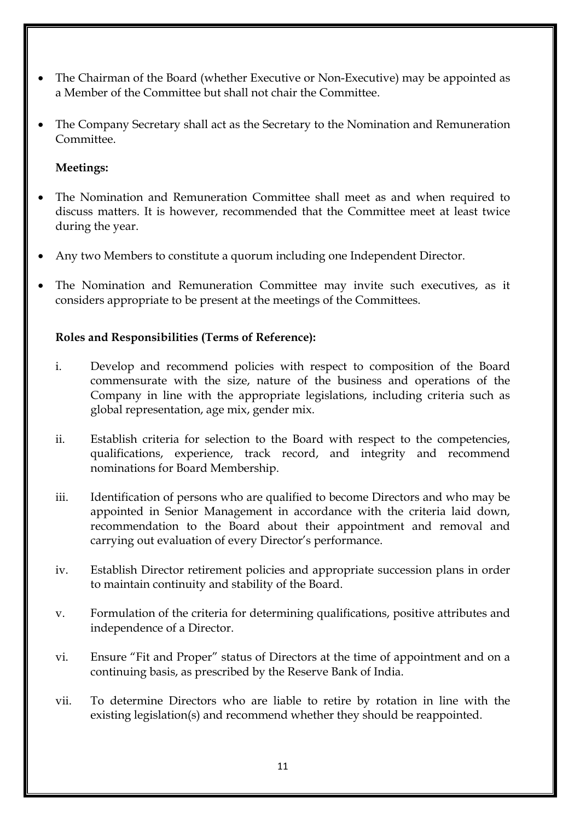- The Chairman of the Board (whether Executive or Non-Executive) may be appointed as a Member of the Committee but shall not chair the Committee.
- The Company Secretary shall act as the Secretary to the Nomination and Remuneration Committee.

## **Meetings:**

- The Nomination and Remuneration Committee shall meet as and when required to discuss matters. It is however, recommended that the Committee meet at least twice during the year.
- Any two Members to constitute a quorum including one Independent Director.
- The Nomination and Remuneration Committee may invite such executives, as it considers appropriate to be present at the meetings of the Committees.

## **Roles and Responsibilities (Terms of Reference):**

- i. Develop and recommend policies with respect to composition of the Board commensurate with the size, nature of the business and operations of the Company in line with the appropriate legislations, including criteria such as global representation, age mix, gender mix.
- ii. Establish criteria for selection to the Board with respect to the competencies, qualifications, experience, track record, and integrity and recommend nominations for Board Membership.
- iii. Identification of persons who are qualified to become Directors and who may be appointed in Senior Management in accordance with the criteria laid down, recommendation to the Board about their appointment and removal and carrying out evaluation of every Director's performance.
- iv. Establish Director retirement policies and appropriate succession plans in order to maintain continuity and stability of the Board.
- v. Formulation of the criteria for determining qualifications, positive attributes and independence of a Director.
- vi. Ensure "Fit and Proper" status of Directors at the time of appointment and on a continuing basis, as prescribed by the Reserve Bank of India.
- vii. To determine Directors who are liable to retire by rotation in line with the existing legislation(s) and recommend whether they should be reappointed.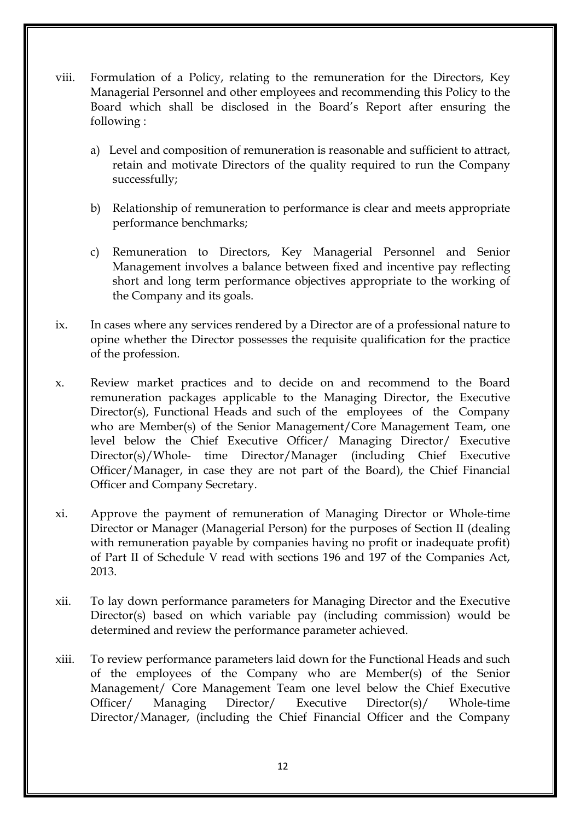- viii. Formulation of a Policy, relating to the remuneration for the Directors, Key Managerial Personnel and other employees and recommending this Policy to the Board which shall be disclosed in the Board's Report after ensuring the following :
	- a) Level and composition of remuneration is reasonable and sufficient to attract, retain and motivate Directors of the quality required to run the Company successfully;
	- b) Relationship of remuneration to performance is clear and meets appropriate performance benchmarks;
	- c) Remuneration to Directors, Key Managerial Personnel and Senior Management involves a balance between fixed and incentive pay reflecting short and long term performance objectives appropriate to the working of the Company and its goals.
- ix. In cases where any services rendered by a Director are of a professional nature to opine whether the Director possesses the requisite qualification for the practice of the profession.
- x. Review market practices and to decide on and recommend to the Board remuneration packages applicable to the Managing Director, the Executive Director(s), Functional Heads and such of the employees of the Company who are Member(s) of the Senior Management/Core Management Team, one level below the Chief Executive Officer/ Managing Director/ Executive Director(s)/Whole- time Director/Manager (including Chief Executive Officer/Manager, in case they are not part of the Board), the Chief Financial Officer and Company Secretary.
- xi. Approve the payment of remuneration of Managing Director or Whole-time Director or Manager (Managerial Person) for the purposes of Section II (dealing with remuneration payable by companies having no profit or inadequate profit) of Part II of Schedule V read with sections 196 and 197 of the Companies Act, 2013.
- xii. To lay down performance parameters for Managing Director and the Executive Director(s) based on which variable pay (including commission) would be determined and review the performance parameter achieved.
- xiii. To review performance parameters laid down for the Functional Heads and such of the employees of the Company who are Member(s) of the Senior Management/ Core Management Team one level below the Chief Executive Officer/ Managing Director/ Executive Director(s)/ Whole-time Director/Manager, (including the Chief Financial Officer and the Company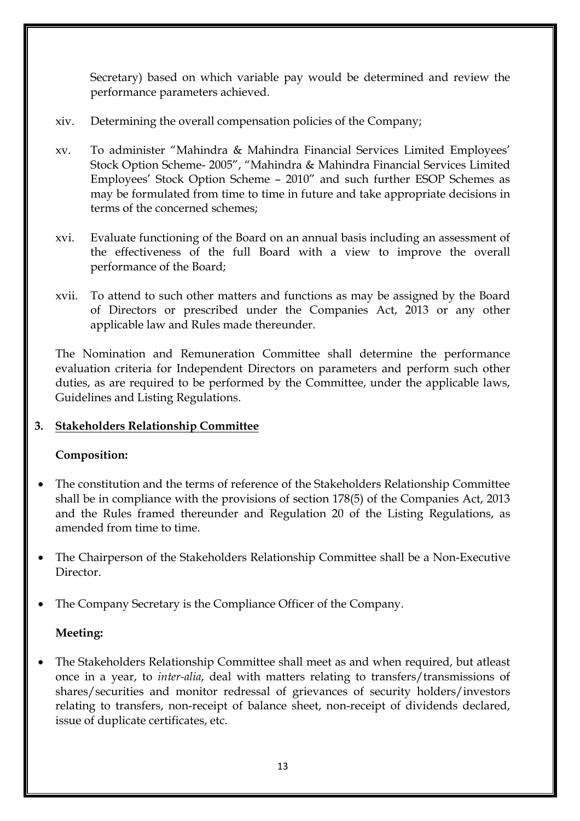Secretary) based on which variable pay would be determined and review the performance parameters achieved.

- xiv. Determining the overall compensation policies of the Company;
- xv. To administer "Mahindra & Mahindra Financial Services Limited Employees' Stock Option Scheme- 2005", "Mahindra & Mahindra Financial Services Limited Employees' Stock Option Scheme – 2010" and such further ESOP Schemes as may be formulated from time to time in future and take appropriate decisions in terms of the concerned schemes;
- xvi. Evaluate functioning of the Board on an annual basis including an assessment of the effectiveness of the full Board with a view to improve the overall performance of the Board;
- xvii. To attend to such other matters and functions as may be assigned by the Board of Directors or prescribed under the Companies Act, 2013 or any other applicable law and Rules made thereunder.

The Nomination and Remuneration Committee shall determine the performance evaluation criteria for Independent Directors on parameters and perform such other duties, as are required to be performed by the Committee, under the applicable laws, Guidelines and Listing Regulations.

## **3. Stakeholders Relationship Committee**

## **Composition:**

- The constitution and the terms of reference of the Stakeholders Relationship Committee shall be in compliance with the provisions of section 178(5) of the Companies Act, 2013 and the Rules framed thereunder and Regulation 20 of the Listing Regulations, as amended from time to time.
- The Chairperson of the Stakeholders Relationship Committee shall be a Non-Executive **Director**
- The Company Secretary is the Compliance Officer of the Company.

## **Meeting:**

 The Stakeholders Relationship Committee shall meet as and when required, but atleast once in a year, to *inter-alia*, deal with matters relating to transfers/transmissions of shares/securities and monitor redressal of grievances of security holders/investors relating to transfers, non-receipt of balance sheet, non-receipt of dividends declared, issue of duplicate certificates, etc.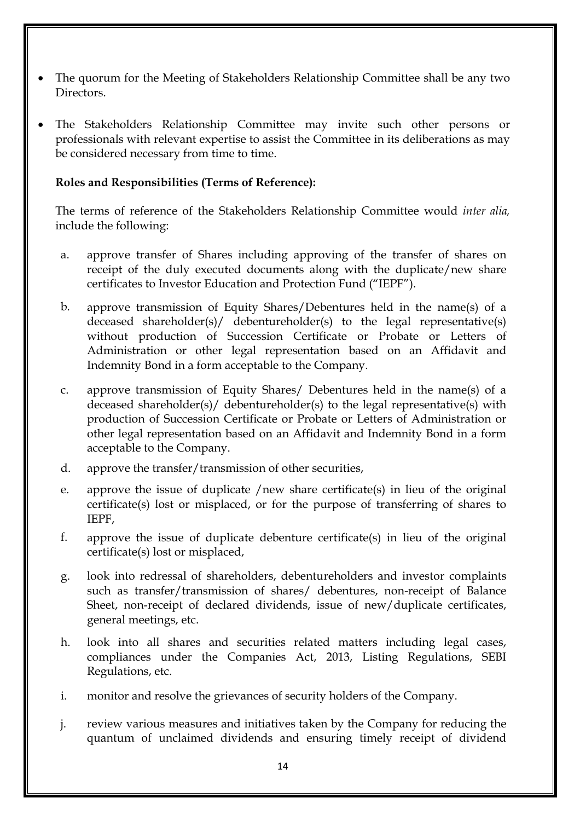- The quorum for the Meeting of Stakeholders Relationship Committee shall be any two Directors.
- The Stakeholders Relationship Committee may invite such other persons or professionals with relevant expertise to assist the Committee in its deliberations as may be considered necessary from time to time.

#### **Roles and Responsibilities (Terms of Reference):**

The terms of reference of the Stakeholders Relationship Committee would *inter alia,* include the following:

- a. approve transfer of Shares including approving of the transfer of shares on receipt of the duly executed documents along with the duplicate/new share certificates to Investor Education and Protection Fund ("IEPF").
- b. approve transmission of Equity Shares/Debentures held in the name(s) of a deceased shareholder(s)/ debentureholder(s) to the legal representative(s) without production of Succession Certificate or Probate or Letters of Administration or other legal representation based on an Affidavit and Indemnity Bond in a form acceptable to the Company.
- c. approve transmission of Equity Shares/ Debentures held in the name(s) of a deceased shareholder(s)/ debentureholder(s) to the legal representative(s) with production of Succession Certificate or Probate or Letters of Administration or other legal representation based on an Affidavit and Indemnity Bond in a form acceptable to the Company.
- d. approve the transfer/transmission of other securities,
- e. approve the issue of duplicate /new share certificate(s) in lieu of the original certificate(s) lost or misplaced, or for the purpose of transferring of shares to IEPF,
- f. approve the issue of duplicate debenture certificate(s) in lieu of the original certificate(s) lost or misplaced,
- g. look into redressal of shareholders, debentureholders and investor complaints such as transfer/transmission of shares/ debentures, non-receipt of Balance Sheet, non-receipt of declared dividends, issue of new/duplicate certificates, general meetings, etc.
- h. look into all shares and securities related matters including legal cases, compliances under the Companies Act, 2013, Listing Regulations, SEBI Regulations, etc.
- i. monitor and resolve the grievances of security holders of the Company.
- j. review various measures and initiatives taken by the Company for reducing the quantum of unclaimed dividends and ensuring timely receipt of dividend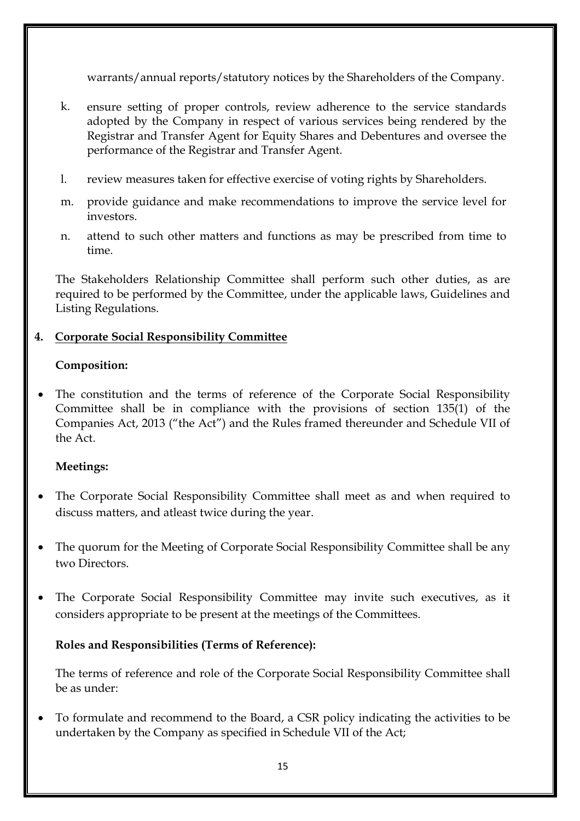warrants/annual reports/statutory notices by the Shareholders of the Company.

- k. ensure setting of proper controls, review adherence to the service standards adopted by the Company in respect of various services being rendered by the Registrar and Transfer Agent for Equity Shares and Debentures and oversee the performance of the Registrar and Transfer Agent.
- l. review measures taken for effective exercise of voting rights by Shareholders.
- m. provide guidance and make recommendations to improve the service level for investors.
- n. attend to such other matters and functions as may be prescribed from time to time.

The Stakeholders Relationship Committee shall perform such other duties, as are required to be performed by the Committee, under the applicable laws, Guidelines and Listing Regulations.

## **4. Corporate Social Responsibility Committee**

## **Composition:**

 The constitution and the terms of reference of the Corporate Social Responsibility Committee shall be in compliance with the provisions of section 135(1) of the Companies Act, 2013 ("the Act") and the Rules framed thereunder and Schedule VII of the Act.

## **Meetings:**

- The Corporate Social Responsibility Committee shall meet as and when required to discuss matters, and atleast twice during the year.
- The quorum for the Meeting of Corporate Social Responsibility Committee shall be any two Directors.
- The Corporate Social Responsibility Committee may invite such executives, as it considers appropriate to be present at the meetings of the Committees.

## **Roles and Responsibilities (Terms of Reference):**

The terms of reference and role of the Corporate Social Responsibility Committee shall be as under:

 To formulate and recommend to the Board, a CSR policy indicating the activities to be undertaken by the Company as specified in Schedule VII of the Act;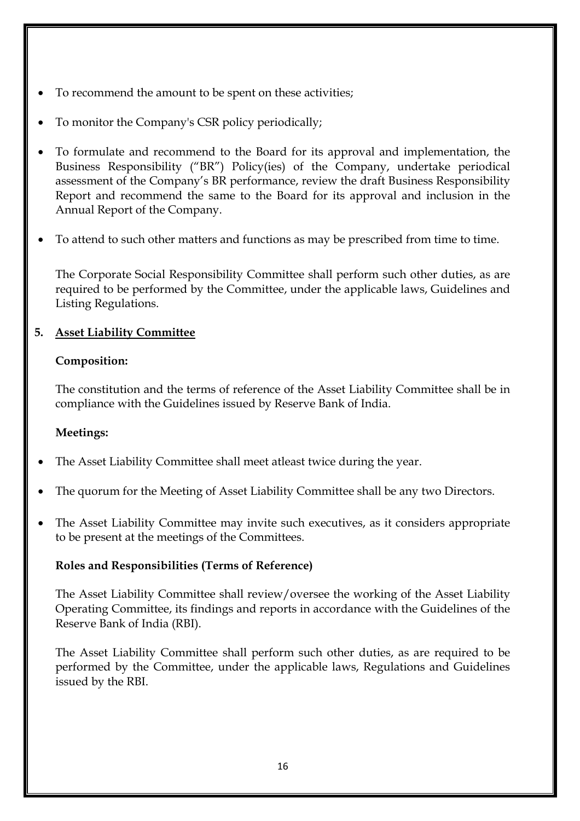- To recommend the amount to be spent on these activities;
- To monitor the Company's CSR policy periodically;
- To formulate and recommend to the Board for its approval and implementation, the Business Responsibility ("BR") Policy(ies) of the Company, undertake periodical assessment of the Company's BR performance, review the draft Business Responsibility Report and recommend the same to the Board for its approval and inclusion in the Annual Report of the Company.
- To attend to such other matters and functions as may be prescribed from time to time.

The Corporate Social Responsibility Committee shall perform such other duties, as are required to be performed by the Committee, under the applicable laws, Guidelines and Listing Regulations.

## **5. Asset Liability Committee**

## **Composition:**

The constitution and the terms of reference of the Asset Liability Committee shall be in compliance with the Guidelines issued by Reserve Bank of India.

## **Meetings:**

- The Asset Liability Committee shall meet atleast twice during the year.
- The quorum for the Meeting of Asset Liability Committee shall be any two Directors.
- The Asset Liability Committee may invite such executives, as it considers appropriate to be present at the meetings of the Committees.

## **Roles and Responsibilities (Terms of Reference)**

The Asset Liability Committee shall review/oversee the working of the Asset Liability Operating Committee, its findings and reports in accordance with the Guidelines of the Reserve Bank of India (RBI).

The Asset Liability Committee shall perform such other duties, as are required to be performed by the Committee, under the applicable laws, Regulations and Guidelines issued by the RBI.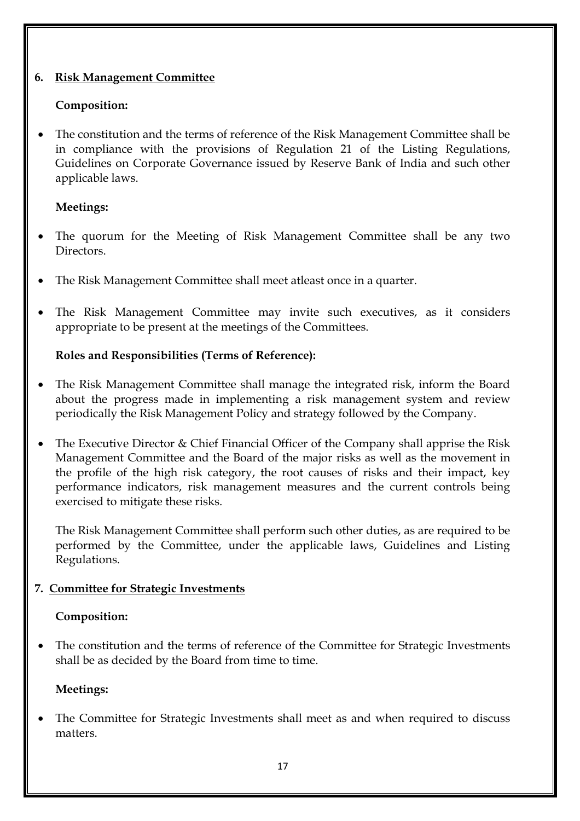## **6. Risk Management Committee**

## **Composition:**

 The constitution and the terms of reference of the Risk Management Committee shall be in compliance with the provisions of Regulation 21 of the Listing Regulations, Guidelines on Corporate Governance issued by Reserve Bank of India and such other applicable laws.

## **Meetings:**

- The quorum for the Meeting of Risk Management Committee shall be any two Directors.
- The Risk Management Committee shall meet atleast once in a quarter.
- The Risk Management Committee may invite such executives, as it considers appropriate to be present at the meetings of the Committees.

## **Roles and Responsibilities (Terms of Reference):**

- The Risk Management Committee shall manage the integrated risk, inform the Board about the progress made in implementing a risk management system and review periodically the Risk Management Policy and strategy followed by the Company.
- The Executive Director & Chief Financial Officer of the Company shall apprise the Risk Management Committee and the Board of the major risks as well as the movement in the profile of the high risk category, the root causes of risks and their impact, key performance indicators, risk management measures and the current controls being exercised to mitigate these risks.

The Risk Management Committee shall perform such other duties, as are required to be performed by the Committee, under the applicable laws, Guidelines and Listing Regulations.

## **7. Committee for Strategic Investments**

## **Composition:**

 The constitution and the terms of reference of the Committee for Strategic Investments shall be as decided by the Board from time to time.

## **Meetings:**

 The Committee for Strategic Investments shall meet as and when required to discuss matters.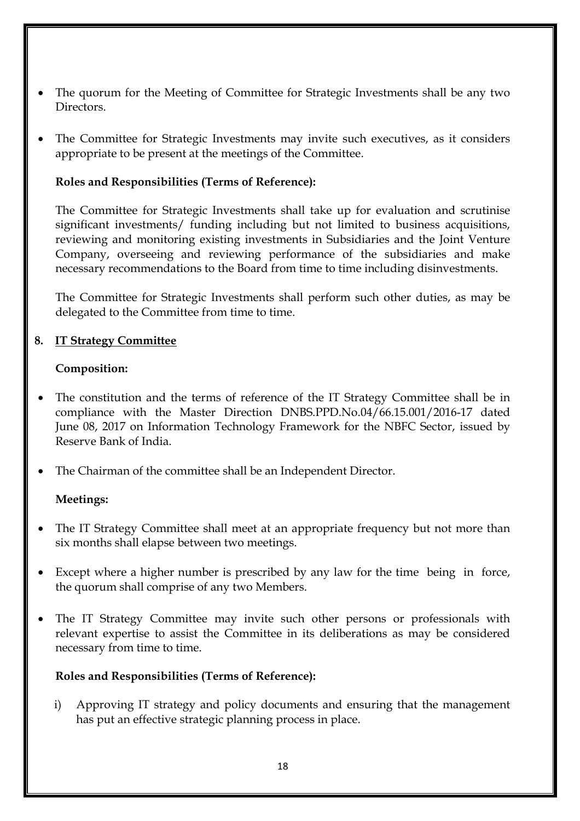- The quorum for the Meeting of Committee for Strategic Investments shall be any two Directors.
- The Committee for Strategic Investments may invite such executives, as it considers appropriate to be present at the meetings of the Committee.

## **Roles and Responsibilities (Terms of Reference):**

The Committee for Strategic Investments shall take up for evaluation and scrutinise significant investments/ funding including but not limited to business acquisitions, reviewing and monitoring existing investments in Subsidiaries and the Joint Venture Company, overseeing and reviewing performance of the subsidiaries and make necessary recommendations to the Board from time to time including disinvestments.

The Committee for Strategic Investments shall perform such other duties, as may be delegated to the Committee from time to time.

## **8. IT Strategy Committee**

#### **Composition:**

- The constitution and the terms of reference of the IT Strategy Committee shall be in compliance with the Master Direction DNBS.PPD.No.04/66.15.001/2016-17 dated June 08, 2017 on Information Technology Framework for the NBFC Sector, issued by Reserve Bank of India.
- The Chairman of the committee shall be an Independent Director.

#### **Meetings:**

- The IT Strategy Committee shall meet at an appropriate frequency but not more than six months shall elapse between two meetings.
- Except where a higher number is prescribed by any law for the time being in force, the quorum shall comprise of any two Members.
- The IT Strategy Committee may invite such other persons or professionals with relevant expertise to assist the Committee in its deliberations as may be considered necessary from time to time.

## **Roles and Responsibilities (Terms of Reference):**

i) Approving IT strategy and policy documents and ensuring that the management has put an effective strategic planning process in place.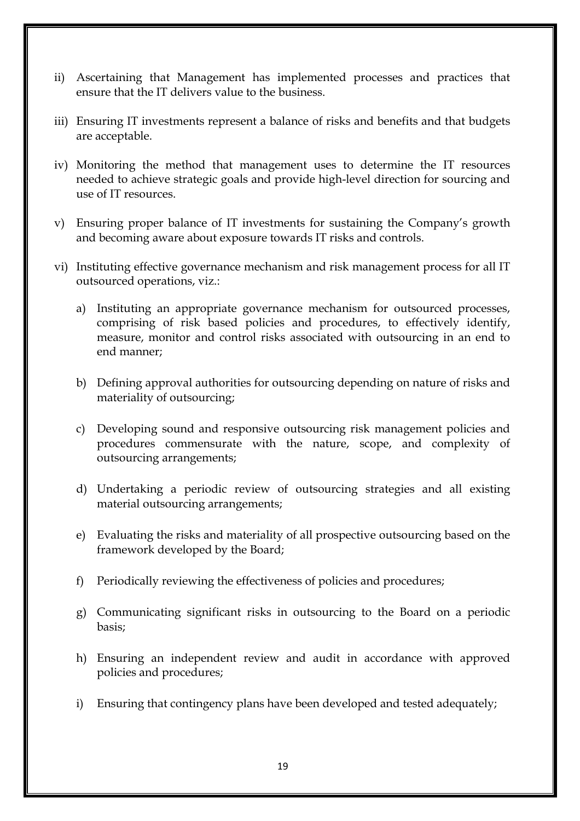- ii) Ascertaining that Management has implemented processes and practices that ensure that the IT delivers value to the business.
- iii) Ensuring IT investments represent a balance of risks and benefits and that budgets are acceptable.
- iv) Monitoring the method that management uses to determine the IT resources needed to achieve strategic goals and provide high-level direction for sourcing and use of IT resources.
- v) Ensuring proper balance of IT investments for sustaining the Company's growth and becoming aware about exposure towards IT risks and controls.
- vi) Instituting effective governance mechanism and risk management process for all IT outsourced operations, viz.:
	- a) Instituting an appropriate governance mechanism for outsourced processes, comprising of risk based policies and procedures, to effectively identify, measure, monitor and control risks associated with outsourcing in an end to end manner;
	- b) Defining approval authorities for outsourcing depending on nature of risks and materiality of outsourcing;
	- c) Developing sound and responsive outsourcing risk management policies and procedures commensurate with the nature, scope, and complexity of outsourcing arrangements;
	- d) Undertaking a periodic review of outsourcing strategies and all existing material outsourcing arrangements;
	- e) Evaluating the risks and materiality of all prospective outsourcing based on the framework developed by the Board;
	- f) Periodically reviewing the effectiveness of policies and procedures;
	- g) Communicating significant risks in outsourcing to the Board on a periodic basis;
	- h) Ensuring an independent review and audit in accordance with approved policies and procedures;
	- i) Ensuring that contingency plans have been developed and tested adequately;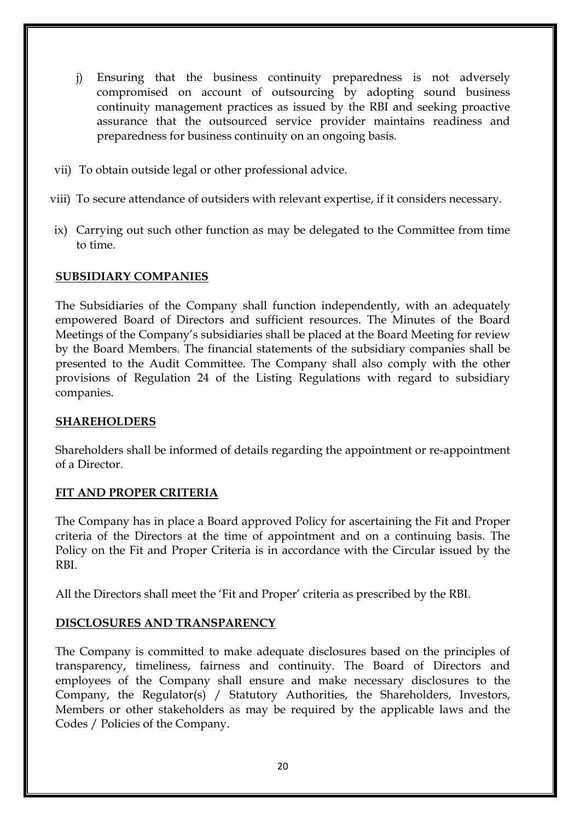- j) Ensuring that the business continuity preparedness is not adversely compromised on account of outsourcing by adopting sound business continuity management practices as issued by the RBI and seeking proactive assurance that the outsourced service provider maintains readiness and preparedness for business continuity on an ongoing basis.
- vii) To obtain outside legal or other professional advice.
- viii) To secure attendance of outsiders with relevant expertise, if it considers necessary.
- ix) Carrying out such other function as may be delegated to the Committee from time to time.

## **SUBSIDIARY COMPANIES**

The Subsidiaries of the Company shall function independently, with an adequately empowered Board of Directors and sufficient resources. The Minutes of the Board Meetings of the Company's subsidiaries shall be placed at the Board Meeting for review by the Board Members. The financial statements of the subsidiary companies shall be presented to the Audit Committee. The Company shall also comply with the other provisions of Regulation 24 of the Listing Regulations with regard to subsidiary companies.

## **SHAREHOLDERS**

Shareholders shall be informed of details regarding the appointment or re-appointment of a Director.

## **FIT AND PROPER CRITERIA**

The Company has in place a Board approved Policy for ascertaining the Fit and Proper criteria of the Directors at the time of appointment and on a continuing basis. The Policy on the Fit and Proper Criteria is in accordance with the Circular issued by the RBI.

All the Directors shall meet the 'Fit and Proper' criteria as prescribed by the RBI.

## **DISCLOSURES AND TRANSPARENCY**

The Company is committed to make adequate disclosures based on the principles of transparency, timeliness, fairness and continuity. The Board of Directors and employees of the Company shall ensure and make necessary disclosures to the Company, the Regulator(s) / Statutory Authorities, the Shareholders, Investors, Members or other stakeholders as may be required by the applicable laws and the Codes / Policies of the Company.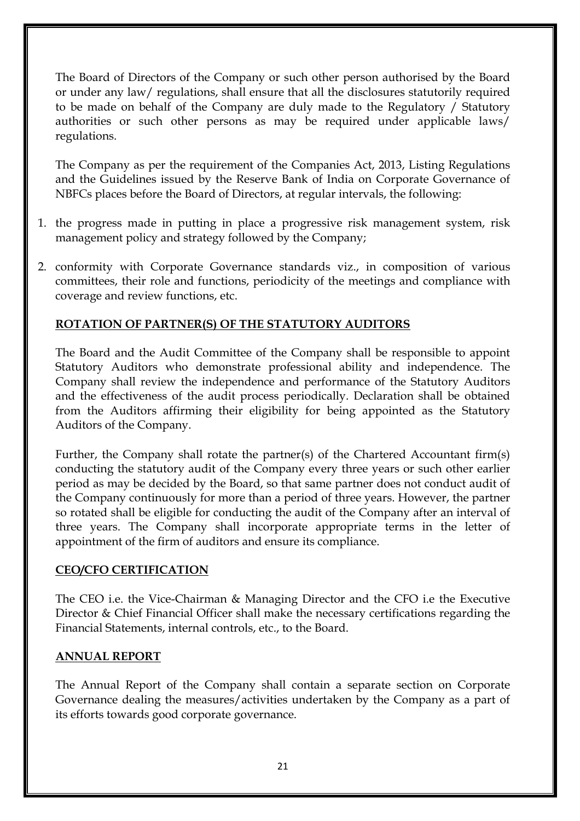The Board of Directors of the Company or such other person authorised by the Board or under any law/ regulations, shall ensure that all the disclosures statutorily required to be made on behalf of the Company are duly made to the Regulatory / Statutory authorities or such other persons as may be required under applicable laws/ regulations.

The Company as per the requirement of the Companies Act, 2013, Listing Regulations and the Guidelines issued by the Reserve Bank of India on Corporate Governance of NBFCs places before the Board of Directors, at regular intervals, the following:

- 1. the progress made in putting in place a progressive risk management system, risk management policy and strategy followed by the Company;
- 2. conformity with Corporate Governance standards viz., in composition of various committees, their role and functions, periodicity of the meetings and compliance with coverage and review functions, etc.

## **ROTATION OF PARTNER(S) OF THE STATUTORY AUDITORS**

The Board and the Audit Committee of the Company shall be responsible to appoint Statutory Auditors who demonstrate professional ability and independence. The Company shall review the independence and performance of the Statutory Auditors and the effectiveness of the audit process periodically. Declaration shall be obtained from the Auditors affirming their eligibility for being appointed as the Statutory Auditors of the Company.

Further, the Company shall rotate the partner(s) of the Chartered Accountant firm(s) conducting the statutory audit of the Company every three years or such other earlier period as may be decided by the Board, so that same partner does not conduct audit of the Company continuously for more than a period of three years. However, the partner so rotated shall be eligible for conducting the audit of the Company after an interval of three years. The Company shall incorporate appropriate terms in the letter of appointment of the firm of auditors and ensure its compliance.

## **CEO/CFO CERTIFICATION**

The CEO i.e. the Vice-Chairman & Managing Director and the CFO i.e the Executive Director & Chief Financial Officer shall make the necessary certifications regarding the Financial Statements, internal controls, etc., to the Board.

## **ANNUAL REPORT**

The Annual Report of the Company shall contain a separate section on Corporate Governance dealing the measures/activities undertaken by the Company as a part of its efforts towards good corporate governance.